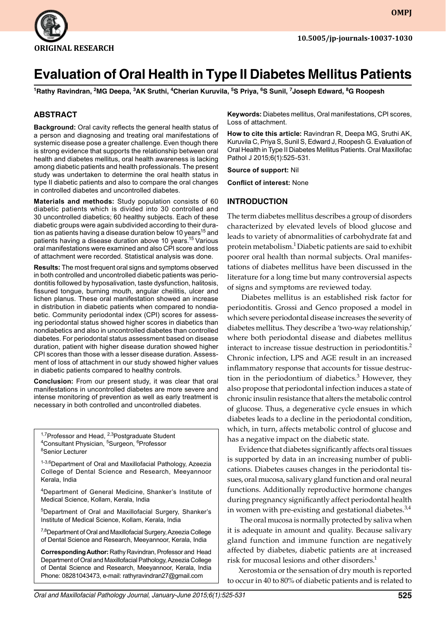

**OMPJ**

# **Evaluation of Oral Health in Type II Diabetes Mellitus Patients**

**1 Rathy Ravindran, 2 Mg Deepa, 3 Ak Sruthi, 4 Cherian Kuruvila, 5 S Priya, 6 S Sunil, 7 Joseph Edward, 8 G Roopesh**

## **ABSTRACT**

**Background:** Oral cavity reflects the general health status of a person and diagnosing and treating oral manifestations of systemic disease pose a greater challenge. Even though there is strong evidence that supports the relationship between oral health and diabetes mellitus, oral health awareness is lacking among diabetic patients and health professionals. The present study was undertaken to determine the oral health status in type II diabetic patients and also to compare the oral changes in controlled diabetes and uncontrolled diabetes.

**Materials and methods:** Study population consists of 60 diabetic patients which is divided into 30 controlled and 30 uncontrolled diabetics; 60 healthy subjects. Each of these diabetic groups were again subdivided according to their duration as patients having a disease duration below 10 years<sup>15</sup> and patients having a disease duration above 10 years.<sup>15</sup> Various oral manifestations were examined and also CPI score and loss of attachment were recorded. Statistical analysis was done.

**Results:** The most frequent oral signs and symptoms observed in both controlled and uncontrolled diabetic patients was periodontitis followed by hyposalivation, taste dysfunction, halitosis, fissured tongue, burning mouth, angular cheilitis, ulcer and lichen planus. These oral manifestation showed an increase in distribution in diabetic patients when compared to nondiabetic. Community periodontal index (CPI) scores for assessing periodontal status showed higher scores in diabetics than nondiabetics and also in uncontrolled diabetes than controlled diabetes. For periodontal status assessment based on disease duration, patient with higher disease duration showed higher CPI scores than those with a lesser disease duration. Assessment of loss of attachment in our study showed higher values in diabetic patients compared to healthy controls.

**Conclusion:** From our present study, it was clear that oral manifestations in uncontrolled diabetes are more severe and intense monitoring of prevention as well as early treatment is necessary in both controlled and uncontrolled diabetes.

<sup>1,7</sup>Professor and Head, <sup>2,3</sup>Postgraduate Student <sup>4</sup>Consultant Physician, <sup>5</sup>Surgeon, <sup>6</sup>Professor <sup>8</sup>Senior Lecturer

1-3,6Department of Oral and Maxillofacial Pathology, Azeezia College of Dental Science and Research, Meeyannoor Kerala, India

<sup>4</sup>Department of General Medicine, Shanker's Institute of Medical Science, Kollam, Kerala, India

5 Department of Oral and Maxillofacial Surgery, Shanker's Institute of Medical Science, Kollam, Kerala, India

<sup>7,8</sup>Department of Oral and Maxillofacial Surgery, Azeezia College of Dental Science and Research, Meeyannoor, Kerala, India

**Corresponding Author:** Rathy Ravindran, Professor and Head Department of Oral and Maxillofacial Pathology, Azeezia College of Dental Science and Research, Meeyannoor, Kerala, India Phone: 08281043473, e-mail: rathyravindran27@gmail.com

**Keywords:** Diabetes mellitus, Oral manifestations, CPI scores, Loss of attachment.

How to cite this article: Ravindran R, Deepa MG, Sruthi AK, Kuruvila C, Priya S, Sunil S, Edward J, Roopesh G. Evaluation of Oral Health in Type II Diabetes Mellitus Patients. Oral Maxillofac Pathol J 2015;6(1):525-531.

**Source of support:** Nil

**Conflict of interest:** None

#### **INTRODUCTION**

The term diabetes mellitus describes a group of disorders characterized by elevated levels of blood glucose and leads to variety of abnormalities of carbohydrate fat and protein metabolism.<sup>1</sup> Diabetic patients are said to exhibit poorer oral health than normal subjects. Oral manifestations of diabetes mellitus have been discussed in the literature for a long time but many controversial aspects of signs and symptoms are reviewed today.

 Diabetes mellitus is an established risk factor for periodontitis. Grossi and Genco proposed a model in which severe periodontal disease increases the severity of diabetes mellitus. They describe a 'two-way relationship,' where both periodontal disease and diabetes mellitus interact to increase tissue destruction in periodontitis.<sup>2</sup> Chronic infection, LPS and AGE result in an increased inflammatory response that accounts for tissue destruction in the periodontium of diabetics.<sup>3</sup> However, they also propose that periodontal infection induces a state of chronic insulin resistance that alters the metabolic control of glucose. Thus, a degenerative cycle ensues in which diabetes leads to a decline in the periodontal condition, which, in turn, affects metabolic control of glucose and has a negative impact on the diabetic state.

Evidence that diabetes significantly affects oral tissues is supported by data in an increasing number of publications. Diabetes causes changes in the periodontal tissues, oral mucosa, salivary gland function and oral neural functions. Additionally reproductive hormone changes during pregnancy significantly affect periodontal health in women with pre-existing and gestational diabetes.<sup>3,4</sup>

 The oral mucosa is normally protected by saliva when it is adequate in amount and quality. Because salivary gland function and immune function are negatively affected by diabetes, diabetic patients are at increased risk for mucosal lesions and other disorders.<sup>1</sup>

Xerostomia or the sensation of dry mouth is reported to occur in 40 to 80% of diabetic patients and is related to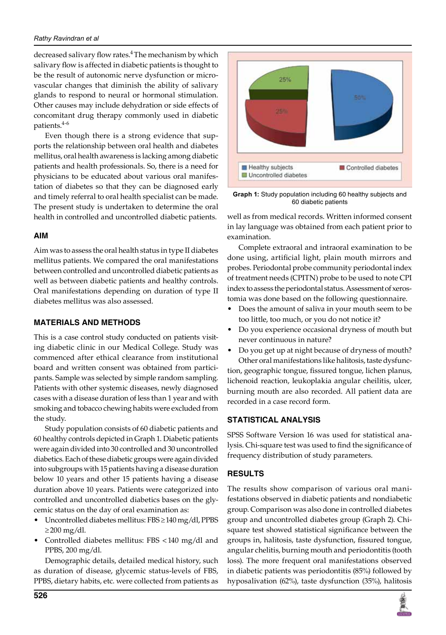#### *Rathy Ravindran et al*

decreased salivary flow rates.<sup>4</sup> The mechanism by which salivary flow is affected in diabetic patients is thought to be the result of autonomic nerve dysfunction or microvascular changes that diminish the ability of salivary glands to respond to neural or hormonal stimulation. Other causes may include dehydration or side effects of concomitant drug therapy commonly used in diabetic patients.4-6

Even though there is a strong evidence that supports the relationship between oral health and diabetes mellitus, oral health awareness is lacking among diabetic patients and health professionals. So, there is a need for physicians to be educated about various oral manifestation of diabetes so that they can be diagnosed early and timely referral to oral health specialist can be made. The present study is undertaken to determine the oral health in controlled and uncontrolled diabetic patients.

# **AIM**

Aim was to assess the oral health status in type II diabetes mellitus patients. We compared the oral manifestations between controlled and uncontrolled diabetic patients as well as between diabetic patients and healthy controls. Oral manifestations depending on duration of type II diabetes mellitus was also assessed.

# **MATERIALS AND METHODS**

This is a case control study conducted on patients visiting diabetic clinic in our Medical College. Study was commenced after ethical clearance from institutional board and written consent was obtained from participants. Sample was selected by simple random sampling. Patients with other systemic diseases, newly diagnosed cases with a disease duration of less than 1 year and with smoking and tobacco chewing habits were excluded from the study.

Study population consists of 60 diabetic patients and 60 healthy controls depicted in Graph 1. Diabetic patients were again divided into 30 controlled and 30 uncontrolled diabetics. Each of these diabetic groups were again divided into subgroups with 15 patients having a disease duration below 10 years and other 15 patients having a disease duration above 10 years. Patients were categorized into controlled and uncontrolled diabetics bases on the glycemic status on the day of oral examination as:

- Uncontrolled diabetes mellitus: FBS ≥ 140 mg/dl, PPBS  $≥$ 200 mg/dl.
- Controlled diabetes mellitus: FBS <140 mg/dl and PPBS, 200 mg/dl.

Demographic details, detailed medical history, such as duration of disease, glycemic status-levels of FBS, PPBS, dietary habits, etc. were collected from patients as



**Graph 1:** Study population including 60 healthy subjects and 60 diabetic patients

well as from medical records. Written informed consent in lay language was obtained from each patient prior to examination.

Complete extraoral and intraoral examination to be done using, artificial light, plain mouth mirrors and probes. Periodontal probe community periodontal index of treatment needs (CPITN) probe to be used to note CPI index to assess the periodontal status. Assessment of xerostomia was done based on the following questionnaire.

- Does the amount of saliva in your mouth seem to be too little, too much, or you do not notice it?
- Do you experience occasional dryness of mouth but never continuous in nature?
- Do you get up at night because of dryness of mouth?

Other oral manifestations like halitosis, taste dysfunction, geographic tongue, fissured tongue, lichen planus, lichenoid reaction, leukoplakia angular cheilitis, ulcer, burning mouth are also recorded. All patient data are recorded in a case record form.

# **STATISTICAL ANALYSIS**

SPSS Software Version 16 was used for statistical analysis. Chi-square test was used to find the significance of frequency distribution of study parameters.

# **RESULTS**

The results show comparison of various oral manifestations observed in diabetic patients and nondiabetic group. Comparison was also done in controlled diabetes group and uncontrolled diabetes group (Graph 2). Chisquare test showed statistical significance between the groups in, halitosis, taste dysfunction, fissured tongue, angular chelitis, burning mouth and periodontitis (tooth loss). The more frequent oral manifestations observed in diabetic patients was periodontitis (85%) followed by hyposalivation (62%), taste dysfunction (35%), halitosis

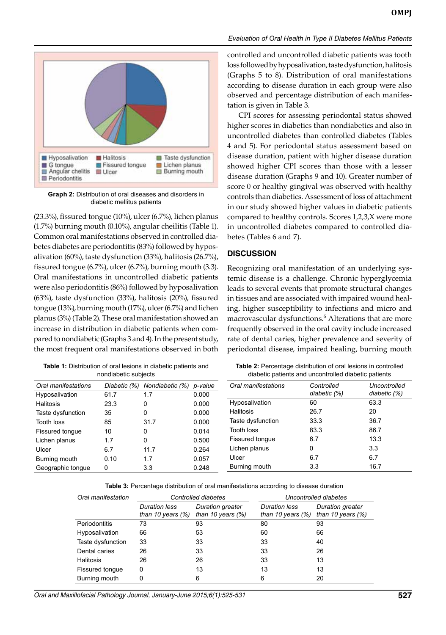

**Graph 2:** Distribution of oral diseases and disorders in diabetic mellitus patients

(23.3%), fissured tongue (10%), ulcer (6.7%), lichen planus (1.7%) burning mouth (0.10%), angular cheilitis (Table 1). Common oral manifestations observed in controlled diabetes diabetes are periodontitis (83%) followed by hyposalivation (60%), taste dysfunction (33%), halitosis (26.7%), fissured tongue (6.7%), ulcer (6.7%), burning mouth (3.3). Oral manifestations in uncontrolled diabetic patients were also periodontitis (86%) followed by hyposalivation (63%), taste dysfunction (33%), halitosis (20%), fissured tongue (13%), burning mouth (17%), ulcer (6.7%) and lichen planus (3%) (Table 2). These oral manifestation showed an increase in distribution in diabetic patients when compared to nondiabetic (Graphs 3 and 4). In the present study, the most frequent oral manifestations observed in both

| <b>Table 1:</b> Distribution of oral lesions in diabetic patients and |  |
|-----------------------------------------------------------------------|--|
| nondiabetic subjects                                                  |  |

controlled and uncontrolled diabetic patients was tooth loss followed by hyposalivation, taste dysfunction, halitosis (Graphs 5 to 8). Distribution of oral manifestations according to disease duration in each group were also observed and percentage distribution of each manifestation is given in Table 3.

CPI scores for assessing periodontal status showed higher scores in diabetics than nondiabetics and also in uncontrolled diabetes than controlled diabetes (Tables 4 and 5). For periodontal status assessment based on disease duration, patient with higher disease duration showed higher CPI scores than those with a lesser disease duration (Graphs 9 and 10). Greater number of score 0 or healthy gingival was observed with healthy controls than diabetics. Assessment of loss of attachment in our study showed higher values in diabetic patients compared to healthy controls. Scores 1,2,3,X were more in uncontrolled diabetes compared to controlled diabetes (Tables 6 and 7).

## **DISCUSSION**

Recognizing oral manifestation of an underlying systemic disease is a challenge. Chronic hyperglycemia leads to several events that promote structural changes in tissues and are associated with impaired wound healing, higher susceptibility to infections and micro and macrovascular dysfunctions.6 Alterations that are more frequently observed in the oral cavity include increased rate of dental caries, higher prevalence and severity of periodontal disease, impaired healing, burning mouth

| <b>Table 2:</b> Percentage distribution of oral lesions in controlled |  |
|-----------------------------------------------------------------------|--|
| diabetic patients and uncontrolled diabetic patients                  |  |

| Oral manifestations | Diabetic (%) | Nondiabetic (%) p-value |       | Oral manifestations | Controlled   | Uncontrolled |
|---------------------|--------------|-------------------------|-------|---------------------|--------------|--------------|
| Hyposalivation      | 61.7         | 1.7                     | 0.000 |                     | diabetic (%) | diabetic (%) |
| <b>Halitosis</b>    | 23.3         | 0                       | 0.000 | Hyposalivation      | 60           | 63.3         |
| Taste dysfunction   | 35           | 0                       | 0.000 | <b>Halitosis</b>    | 26.7         | 20           |
| <b>Tooth loss</b>   | 85           | 31.7                    | 0.000 | Taste dysfunction   | 33.3         | 36.7         |
| Fissured tongue     | 10           | 0                       | 0.014 | Tooth loss          | 83.3         | 86.7         |
| Lichen planus       | 1.7          | 0                       | 0.500 | Fissured tongue     | 6.7          | 13.3         |
| Ulcer               | 6.7          | 11.7                    | 0.264 | Lichen planus       | 0            | 3.3          |
| Burning mouth       | 0.10         | 1.7                     | 0.057 | Ulcer               | 6.7          | 6.7          |
| Geographic tongue   | 0            | 3.3                     | 0.248 | Burning mouth       | 3.3          | 16.7         |

| Table 3: Percentage distribution of oral manifestations according to disease duration |  |  |  |
|---------------------------------------------------------------------------------------|--|--|--|
|---------------------------------------------------------------------------------------|--|--|--|

| Oral manifestation | Controlled diabetes                          |                                          | Uncontrolled diabetes                        |                                          |
|--------------------|----------------------------------------------|------------------------------------------|----------------------------------------------|------------------------------------------|
|                    | <b>Duration less</b><br>than 10 years $(\%)$ | Duration greater<br>than 10 years $(\%)$ | <b>Duration less</b><br>than 10 years $(\%)$ | Duration greater<br>than 10 years $(\%)$ |
| Periodontitis      | 73                                           | 93                                       | 80                                           | 93                                       |
| Hyposalivation     | 66                                           | 53                                       | 60                                           | 66                                       |
| Taste dysfunction  | 33                                           | 33                                       | 33                                           | 40                                       |
| Dental caries      | 26                                           | 33                                       | 33                                           | 26                                       |
| Halitosis          | 26                                           | 26                                       | 33                                           | 13                                       |
| Fissured tongue    | 0                                            | 13                                       | 13                                           | 13                                       |
| Burning mouth      | 0                                            | 6                                        | 6                                            | 20                                       |

*Oral and Maxillofacial Pathology Journal, January-June 2015;6(1):525-531* **527**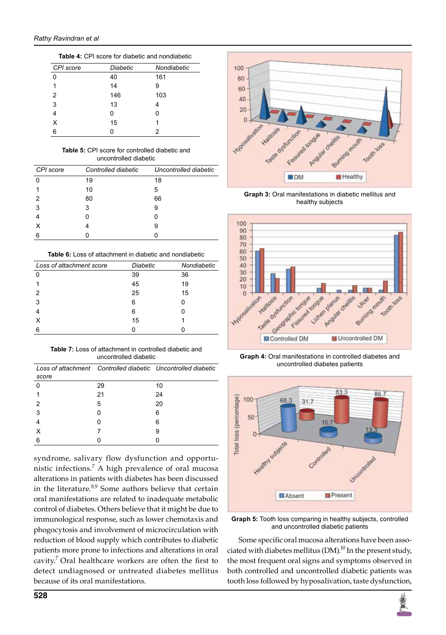| CPI score      | <b>Diabetic</b> | Nondiabetic |
|----------------|-----------------|-------------|
| 0              | 40              | 161         |
|                | 14              | 9           |
| $\mathfrak{p}$ | 146             | 103         |
| 3              | 13              | 4           |
| 4              | 0               | 0           |
| x              | 15              | 1           |
| հ              |                 | 2           |

Table 4: CPI score for diabetic and nondiabetic

#### Table 5: CPI score for controlled diabetic and uncontrolled diabetic

| CPI score | Controlled diabetic | Uncontrolled diabetic |
|-----------|---------------------|-----------------------|
| O         | 19                  | 18                    |
|           | 10                  | 5                     |
| 2         | 80                  | 66                    |
| 3         | 3                   | 9                     |
|           |                     |                       |
| х         |                     | 9                     |
| 6         |                     |                       |

**Table 6:** Loss of attachment in diabetic and nondiabetic

| Loss of attachment score | <b>Diabetic</b> | Nondiabetic |
|--------------------------|-----------------|-------------|
|                          | 39              | 36          |
|                          | 45              | 19          |
|                          | 25              | 15          |
| 3                        | 6               |             |
|                          | 6               |             |
|                          | 15              |             |
|                          |                 |             |

**Table 7:** Loss of attachment in controlled diabetic and uncontrolled diabetic

| score |    | Loss of attachment Controlled diabetic Uncontrolled diabetic |
|-------|----|--------------------------------------------------------------|
|       | 29 | 10                                                           |
|       | 21 | 24                                                           |
|       | 5  | 20                                                           |
| 3     | O  | 6                                                            |
|       |    | 6                                                            |
|       |    | 9                                                            |
|       |    |                                                              |

syndrome, salivary flow dysfunction and opportunistic infections.<sup>7</sup> A high prevalence of oral mucosa alterations in patients with diabetes has been discussed in the literature.<sup>8,9</sup> Some authors believe that certain oral manifestations are related to inadequate metabolic control of diabetes. Others believe that it might be due to immunological response, such as lower chemotaxis and phogocytosis and involvement of microcirculation with reduction of blood supply which contributes to diabetic patients more prone to infections and alterations in oral cavity.7 Oral healthcare workers are often the first to detect undiagnosed or untreated diabetes mellitus because of its oral manifestations.



**Graph 3:** Oral manifestations in diabetic mellitus and healthy subjects



**Graph 4:** Oral manifestations in controlled diabetes and uncontrolled diabetes patients



**Graph 5:** Tooth loss comparing in healthy subjects, controlled and uncontrolled diabetic patients

Some specific oral mucosa alterations have been associated with diabetes mellitus (DM).<sup>10</sup> In the present study, the most frequent oral signs and symptoms observed in both controlled and uncontrolled diabetic patients was tooth loss followed by hyposalivation, taste dysfunction,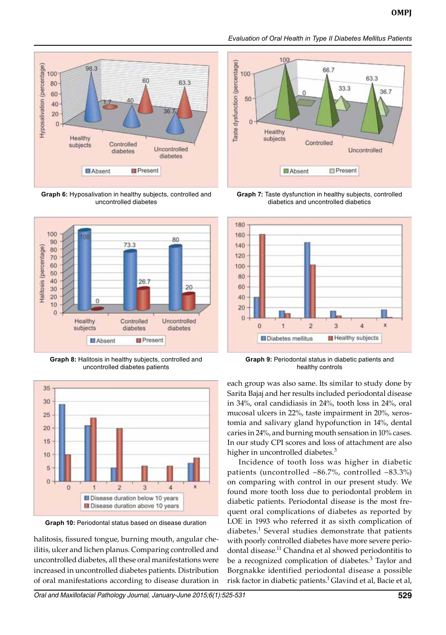

**Graph 6:** Hyposalivation in healthy subjects, controlled and uncontrolled diabetes



**Graph 8:** Halitosis in healthy subjects, controlled and uncontrolled diabetes patients



**Graph 10:** Periodontal status based on disease duration

halitosis, fissured tongue, burning mouth, angular cheilitis, ulcer and lichen planus. Comparing controlled and uncontrolled diabetes, all these oral manifestations were increased in uncontrolled diabetes patients. Distribution of oral manifestations according to disease duration in



*Evaluation of Oral Health in Type II Diabetes Mellitus Patients*

**Graph 7:** Taste dysfunction in healthy subjects, controlled diabetics and uncontrolled diabetics



**Graph 9:** Periodontal status in diabetic patients and healthy controls

each group was also same. Its similar to study done by Sarita Bajaj and her results included periodontal disease in 34%, oral candidiasis in 24%, tooth loss in 24%, oral mucosal ulcers in 22%, taste impairment in 20%, xerostomia and salivary gland hypofunction in 14%, dental caries in 24%, and burning mouth sensation in 10% cases. In our study CPI scores and loss of attachment are also higher in uncontrolled diabetes.<sup>3</sup>

Incidence of tooth loss was higher in diabetic patients (uncontrolled –86.7%, controlled –83.3%) on comparing with control in our present study. We found more tooth loss due to periodontal problem in diabetic patients. Periodontal disease is the most frequent oral complications of diabetes as reported by LOE in 1993 who referred it as sixth complication of diabetes.<sup>1</sup> Several studies demonstrate that patients with poorly controlled diabetes have more severe periodontal disease.<sup>11</sup> Chandna et al showed periodontitis to be a recognized complication of diabetes.<sup>3</sup> Taylor and Borgnakke identified periodontal disease a possible risk factor in diabetic patients.<sup>1</sup> Glavind et al, Bacie et al,

*Oral and Maxillofacial Pathology Journal, January-June 2015;6(1):525-531* **529**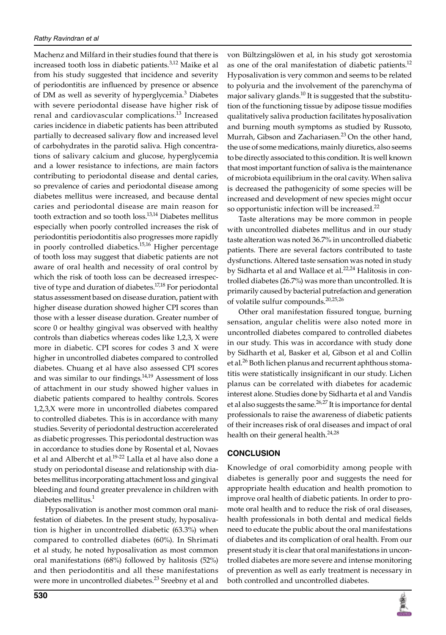Machenz and Milfard in their studies found that there is increased tooth loss in diabetic patients.<sup>3,12</sup> Maike et al from his study suggested that incidence and severity of periodontitis are influenced by presence or absence of DM as well as severity of hyperglycemia.<sup>3</sup> Diabetes with severe periodontal disease have higher risk of renal and cardiovascular complications.<sup>13</sup> Increased caries incidence in diabetic patients has been attributed partially to decreased salivary flow and increased level of carbohydrates in the parotid saliva. High concentrations of salivary calcium and glucose, hyperglycemia and a lower resistance to infections, are main factors contributing to periodontal disease and dental caries, so prevalence of caries and periodontal disease among diabetes mellitus were increased, and because dental caries and periodontal disease are main reason for tooth extraction and so tooth loss.<sup>13,14</sup> Diabetes mellitus especially when poorly controlled increases the risk of periodontitis periodontitis also progresses more rapidly in poorly controlled diabetics.<sup>15,16</sup> Higher percentage of tooth loss may suggest that diabetic patients are not aware of oral health and necessity of oral control by which the risk of tooth loss can be decreased irrespective of type and duration of diabetes.<sup>17,18</sup> For periodontal status assessment based on disease duration, patient with higher disease duration showed higher CPI scores than those with a lesser disease duration. Greater number of score 0 or healthy gingival was observed with healthy controls than diabetics whereas codes like 1,2,3, X were more in diabetic. CPI scores for codes 3 and X were higher in uncontrolled diabetes compared to controlled diabetes. Chuang et al have also assessed CPI scores and was similar to our findings. $14,19$  Assessment of loss of attachment in our study showed higher values in diabetic patients compared to healthy controls. Scores 1,2,3,X were more in uncontrolled diabetes compared to controlled diabetes. This is in accordance with many studies. Severity of periodontal destruction accerelerated as diabetic progresses. This periodontal destruction was in accordance to studies done by Rosental et al, Novaes et al and Albercht et al.<sup>19-22</sup> Lalla et al have also done a study on periodontal disease and relationship with diabetes mellitus incorporating attachment loss and gingival bleeding and found greater prevalence in children with diabetes mellitus.<sup>1</sup>

Hyposalivation is another most common oral manifestation of diabetes. In the present study, hyposalivation is higher in uncontrolled diabetic (63.3%) when compared to controlled diabetes (60%). In Shrimati et al study, he noted hyposalivation as most common oral manifestations (68%) followed by halitosis (52%) and then periodontitis and all these manifestations were more in uncontrolled diabetes.<sup>23</sup> Sreebny et al and

von Bültzingslöwen et al, in his study got xerostomia as one of the oral manifestation of diabetic patients.<sup>12</sup> Hyposalivation is very common and seems to be related to polyuria and the involvement of the parenchyma of major salivary glands.<sup>10</sup> It is suggested that the substitution of the functioning tissue by adipose tissue modifies qualitatively saliva production facilitates hyposalivation and burning mouth symptoms as studied by Russoto, Murrah, Gibson and Zachariasen.<sup>23</sup> On the other hand, the use of some medications, mainly diuretics, also seems to be directly associated to this condition. It is well known that most important function of saliva is the maintenance of microbiota equilibrium in the oral cavity. When saliva is decreased the pathogenicity of some species will be increased and development of new species might occur so opportunistic infection will be increased.<sup>22</sup>

Taste alterations may be more common in people with uncontrolled diabetes mellitus and in our study taste alteration was noted 36.7% in uncontrolled diabetic patients. There are several factors contributed to taste dysfunctions. Altered taste sensation was noted in study by Sidharta et al and Wallace et al.<sup>22,24</sup> Halitosis in controlled diabetes (26.7%) was more than uncontrolled. It is primarily caused by bacterial putrefaction and generation of volatile sulfur compounds.20,25,26

Other oral manifestation fissured tongue, burning sensation, angular chelitis were also noted more in uncontrolled diabetes compared to controlled diabetes in our study. This was in accordance with study done by Sidharth et al, Basker et al, Gibson et al and Collin et al.<sup>26</sup> Both lichen planus and recurrent aphthous stomatitis were statistically insignificant in our study. Lichen planus can be correlated with diabetes for academic interest alone. Studies done by Sidharta et al and Vandis et al also suggests the same. $^{26,27}$  It is importance for dental professionals to raise the awareness of diabetic patients of their increases risk of oral diseases and impact of oral health on their general health.<sup>24,28</sup>

## **CONCLUSION**

Knowledge of oral comorbidity among people with diabetes is generally poor and suggests the need for appropriate health education and health promotion to improve oral health of diabetic patients. In order to promote oral health and to reduce the risk of oral diseases, health professionals in both dental and medical fields need to educate the public about the oral manifestations of diabetes and its complication of oral health. From our present study it is clear that oral manifestations in uncontrolled diabetes are more severe and intense monitoring of prevention as well as early treatment is necessary in both controlled and uncontrolled diabetes.